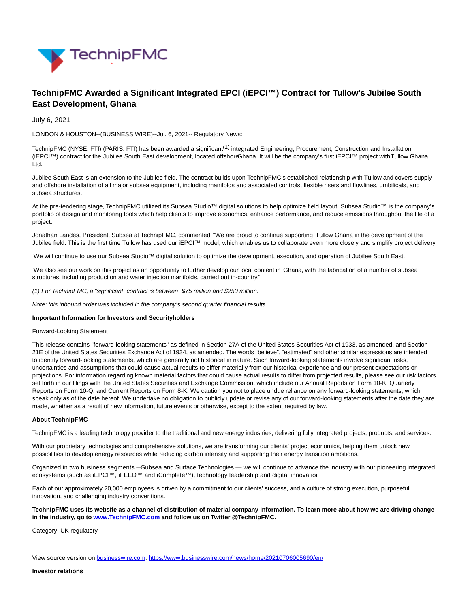

# **TechnipFMC Awarded a Significant Integrated EPCI (iEPCI™) Contract for Tullow's Jubilee South East Development, Ghana**

July 6, 2021

LONDON & HOUSTON--(BUSINESS WIRE)--Jul. 6, 2021-- Regulatory News:

TechnipFMC (NYSE: FTI) (PARIS: FTI) has been awarded a significant<sup>(1)</sup> integrated Engineering, Procurement, Construction and Installation (iEPCI™) contract for the Jubilee South East development, located offshoreGhana. It will be the company's first iEPCI™ project with Tullow Ghana Ltd.

Jubilee South East is an extension to the Jubilee field. The contract builds upon TechnipFMC's established relationship with Tullow and covers supply and offshore installation of all major subsea equipment, including manifolds and associated controls, flexible risers and flowlines, umbilicals, and subsea structures.

At the pre-tendering stage, TechnipFMC utilized its Subsea Studio™ digital solutions to help optimize field layout. Subsea Studio™ is the company's portfolio of design and monitoring tools which help clients to improve economics, enhance performance, and reduce emissions throughout the life of a project.

Jonathan Landes, President, Subsea at TechnipFMC, commented,"We are proud to continue supporting Tullow Ghana in the development of the Jubilee field. This is the first time Tullow has used our iEPCI™ model, which enables us to collaborate even more closely and simplify project delivery.

"We will continue to use our Subsea Studio™ digital solution to optimize the development, execution, and operation of Jubilee South East.

"We also see our work on this project as an opportunity to further develop our local content in Ghana, with the fabrication of a number of subsea structures, including production and water injection manifolds, carried out in-country."

(1) For TechnipFMC, a "significant" contract is between \$75 million and \$250 million.

Note: this inbound order was included in the company's second quarter financial results.

## **Important Information for Investors and Securityholders**

#### Forward-Looking Statement

This release contains "forward-looking statements" as defined in Section 27A of the United States Securities Act of 1933, as amended, and Section 21E of the United States Securities Exchange Act of 1934, as amended. The words "believe", "estimated" and other similar expressions are intended to identify forward-looking statements, which are generally not historical in nature. Such forward-looking statements involve significant risks, uncertainties and assumptions that could cause actual results to differ materially from our historical experience and our present expectations or projections. For information regarding known material factors that could cause actual results to differ from projected results, please see our risk factors set forth in our filings with the United States Securities and Exchange Commission, which include our Annual Reports on Form 10-K, Quarterly Reports on Form 10-Q, and Current Reports on Form 8-K. We caution you not to place undue reliance on any forward-looking statements, which speak only as of the date hereof. We undertake no obligation to publicly update or revise any of our forward-looking statements after the date they are made, whether as a result of new information, future events or otherwise, except to the extent required by law.

## **About TechnipFMC**

TechnipFMC is a leading technology provider to the traditional and new energy industries, delivering fully integrated projects, products, and services.

With our proprietary technologies and comprehensive solutions, we are transforming our clients' project economics, helping them unlock new possibilities to develop energy resources while reducing carbon intensity and supporting their energy transition ambitions.

Organized in two business segments — Subsea and Surface Technologies — we will continue to advance the industry with our pioneering integrated ecosystems (such as iEPCI™, iFEED™ and iComplete™), technology leadership and digital innovation.

Each of our approximately 20,000 employees is driven by a commitment to our clients' success, and a culture of strong execution, purposeful innovation, and challenging industry conventions.

**TechnipFMC uses its website as a channel of distribution of material company information. To learn more about how we are driving change in the industry, go to [www.TechnipFMC.com a](https://cts.businesswire.com/ct/CT?id=smartlink&url=http%3A%2F%2Fwww.technipfmc.com%2F&esheet=52455834&newsitemid=20210706005690&lan=en-US&anchor=www.TechnipFMC.com&index=1&md5=727de5a82324f571f610d86e3d9ca653)nd follow us on Twitter @TechnipFMC.**

Category: UK regulatory

View source version on [businesswire.com:](http://businesswire.com/)<https://www.businesswire.com/news/home/20210706005690/en/>